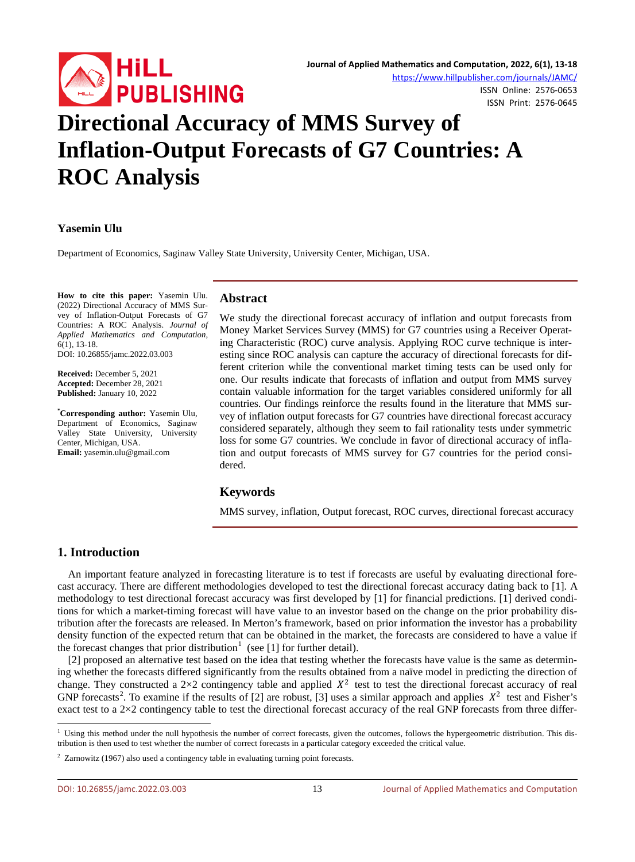

<https://www.hillpublisher.com/journals/JAMC/>

ISSN Online: 2576-0653 ISSN Print: 2576-0645

# **Directional Accuracy of MMS Survey of Inflation-Output Forecasts of G7 Countries: A ROC Analysis**

## **Yasemin Ulu**

Department of Economics, Saginaw Valley State University, University Center, Michigan, USA.

**How to cite this paper:** Yasemin Ulu. (2022) Directional Accuracy of MMS Survey of Inflation-Output Forecasts of G7 Countries: A ROC Analysis. *Journal of Applied Mathematics and Computation*, 6(1), 13-18.

DOI: 10.26855/jamc.2022.03.003

**Received:** December 5, 2021 **Accepted:** December 28, 2021 **Published:** January 10, 2022

**\* Corresponding author:** Yasemin Ulu, Department of Economics, Saginaw Valley State University, University Center, Michigan, USA. **Email:** yasemin.ulu@gmail.com

#### **Abstract**

We study the directional forecast accuracy of inflation and output forecasts from Money Market Services Survey (MMS) for G7 countries using a Receiver Operating Characteristic (ROC) curve analysis. Applying ROC curve technique is interesting since ROC analysis can capture the accuracy of directional forecasts for different criterion while the conventional market timing tests can be used only for one. Our results indicate that forecasts of inflation and output from MMS survey contain valuable information for the target variables considered uniformly for all countries. Our findings reinforce the results found in the literature that MMS survey of inflation output forecasts for G7 countries have directional forecast accuracy considered separately, although they seem to fail rationality tests under symmetric loss for some G7 countries. We conclude in favor of directional accuracy of inflation and output forecasts of MMS survey for G7 countries for the period considered.

## **Keywords**

MMS survey, inflation, Output forecast, ROC curves, directional forecast accuracy

# **1. Introduction**

An important feature analyzed in forecasting literature is to test if forecasts are useful by evaluating directional forecast accuracy. There are different methodologies developed to test the directional forecast accuracy dating back to [1]. A methodology to test directional forecast accuracy was first developed by [1] for financial predictions. [1] derived conditions for which a market-timing forecast will have value to an investor based on the change on the prior probability distribution after the forecasts are released. In Merton's framework, based on prior information the investor has a probability density function of the expected return that can be obtained in the market, the forecasts are considered to have a value if the forecast changes that prior distribution<sup>[1](#page-0-0)</sup> (see [1] for further detail).

[2] proposed an alternative test based on the idea that testing whether the forecasts have value is the same as determining whether the forecasts differed significantly from the results obtained from a naïve model in predicting the direction of change. They constructed a 2×2 contingency table and applied  $X^2$  test to test the directional forecast accuracy of real GNP forecasts<sup>[2](#page-0-1)</sup>. To examine if the results of [2] are robust, [3] uses a similar approach and applies  $X^2$  test and Fisher's exact test to a  $2\times2$  contingency table to test the directional forecast accuracy of the real GNP forecasts from three differ-

<span id="page-0-0"></span><sup>&</sup>lt;sup>1</sup> Using this method under the null hypothesis the number of correct forecasts, given the outcomes, follows the hypergeometric distribution. This distribution is then used to test whether the number of correct forecasts in a particular category exceeded the critical value.

<span id="page-0-1"></span> $2$  Zarnowitz (1967) also used a contingency table in evaluating turning point forecasts.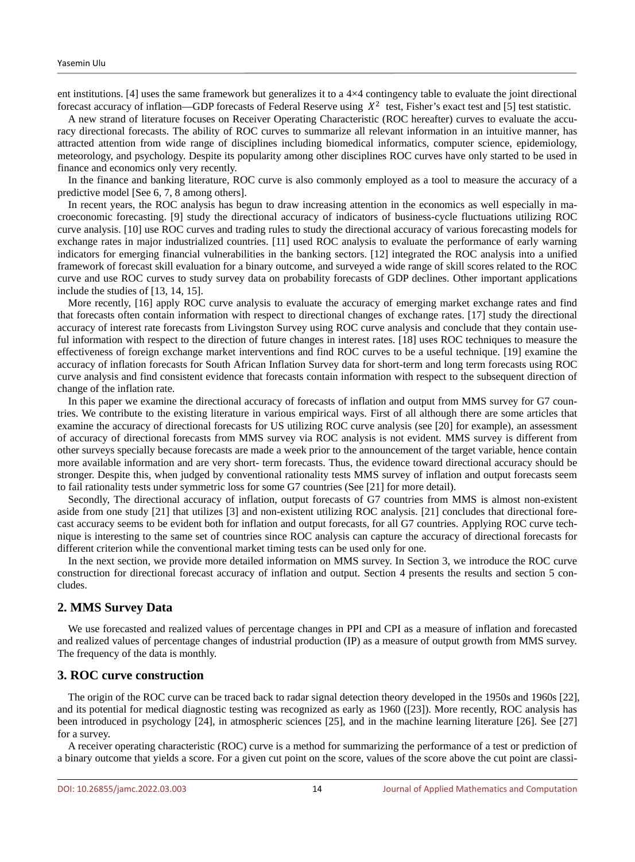ent institutions. [4] uses the same framework but generalizes it to a  $4\times4$  contingency table to evaluate the joint directional forecast accuracy of inflation—GDP forecasts of Federal Reserve using  $X^2$  test, Fisher's exact test and [5] test statistic.

A new strand of literature focuses on Receiver Operating Characteristic (ROC hereafter) curves to evaluate the accuracy directional forecasts. The ability of ROC curves to summarize all relevant information in an intuitive manner, has attracted attention from wide range of disciplines including biomedical informatics, computer science, epidemiology, meteorology, and psychology. Despite its popularity among other disciplines ROC curves have only started to be used in finance and economics only very recently.

In the finance and banking literature, ROC curve is also commonly employed as a tool to measure the accuracy of a predictive model [See 6, 7, 8 among others].

In recent years, the ROC analysis has begun to draw increasing attention in the economics as well especially in macroeconomic forecasting. [9] study the directional accuracy of indicators of business-cycle fluctuations utilizing ROC curve analysis. [10] use ROC curves and trading rules to study the directional accuracy of various forecasting models for exchange rates in major industrialized countries. [11] used ROC analysis to evaluate the performance of early warning indicators for emerging financial vulnerabilities in the banking sectors. [12] integrated the ROC analysis into a unified framework of forecast skill evaluation for a binary outcome, and surveyed a wide range of skill scores related to the ROC curve and use ROC curves to study survey data on probability forecasts of GDP declines. Other important applications include the studies of [13, 14, 15].

More recently, [16] apply ROC curve analysis to evaluate the accuracy of emerging market exchange rates and find that forecasts often contain information with respect to directional changes of exchange rates. [17] study the directional accuracy of interest rate forecasts from Livingston Survey using ROC curve analysis and conclude that they contain useful information with respect to the direction of future changes in interest rates. [18] uses ROC techniques to measure the effectiveness of foreign exchange market interventions and find ROC curves to be a useful technique. [19] examine the accuracy of inflation forecasts for South African Inflation Survey data for short-term and long term forecasts using ROC curve analysis and find consistent evidence that forecasts contain information with respect to the subsequent direction of change of the inflation rate.

In this paper we examine the directional accuracy of forecasts of inflation and output from MMS survey for G7 countries. We contribute to the existing literature in various empirical ways. First of all although there are some articles that examine the accuracy of directional forecasts for US utilizing ROC curve analysis (see [20] for example), an assessment of accuracy of directional forecasts from MMS survey via ROC analysis is not evident. MMS survey is different from other surveys specially because forecasts are made a week prior to the announcement of the target variable, hence contain more available information and are very short- term forecasts. Thus, the evidence toward directional accuracy should be stronger. Despite this, when judged by conventional rationality tests MMS survey of inflation and output forecasts seem to fail rationality tests under symmetric loss for some G7 countries (See [21] for more detail).

Secondly, The directional accuracy of inflation, output forecasts of G7 countries from MMS is almost non-existent aside from one study [21] that utilizes [3] and non-existent utilizing ROC analysis. [21] concludes that directional forecast accuracy seems to be evident both for inflation and output forecasts, for all G7 countries. Applying ROC curve technique is interesting to the same set of countries since ROC analysis can capture the accuracy of directional forecasts for different criterion while the conventional market timing tests can be used only for one.

In the next section, we provide more detailed information on MMS survey. In Section 3, we introduce the ROC curve construction for directional forecast accuracy of inflation and output. Section 4 presents the results and section 5 concludes.

## **2. MMS Survey Data**

We use forecasted and realized values of percentage changes in PPI and CPI as a measure of inflation and forecasted and realized values of percentage changes of industrial production (IP) as a measure of output growth from MMS survey. The frequency of the data is monthly.

#### **3. ROC curve construction**

The origin of the ROC curve can be traced back to radar signal detection theory developed in the 1950s and 1960s [22], and its potential for medical diagnostic testing was recognized as early as 1960 ([23]). More recently, ROC analysis has been introduced in psychology [24], in atmospheric sciences [25], and in the machine learning literature [26]. See [27] for a survey.

A receiver operating characteristic (ROC) curve is a method for summarizing the performance of a test or prediction of a binary outcome that yields a score. For a given cut point on the score, values of the score above the cut point are classi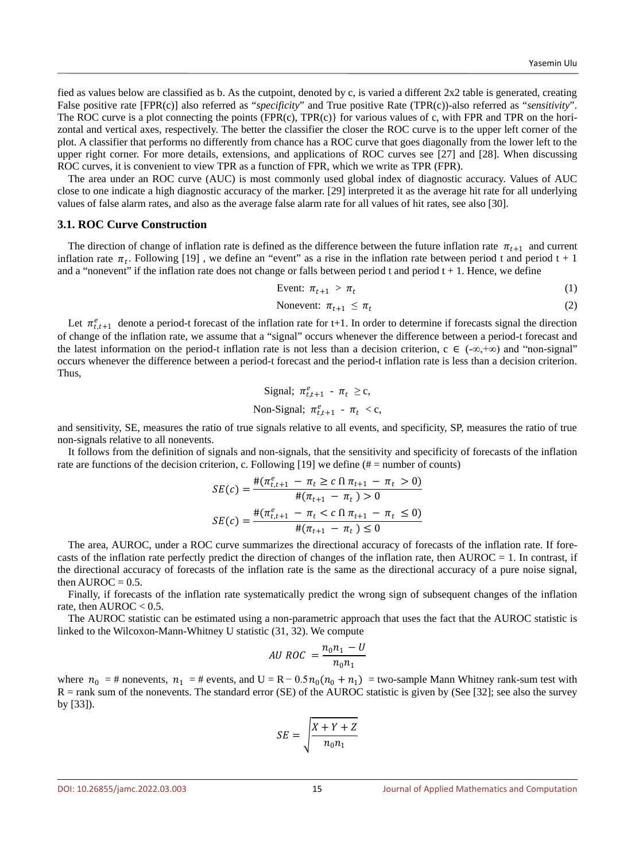fied as values below are classified as b. As the cutpoint, denoted by c, is varied a different 2x2 table is generated, creating False positive rate [FPR(c)] also referred as "*specificity*" and True positive Rate (TPR(c))-also referred as "*sensitivity*". The ROC curve is a plot connecting the points (FPR(c), TPR(c)} for various values of c, with FPR and TPR on the horizontal and vertical axes, respectively. The better the classifier the closer the ROC curve is to the upper left corner of the plot. A classifier that performs no differently from chance has a ROC curve that goes diagonally from the lower left to the upper right corner. For more details, extensions, and applications of ROC curves see [27] and [28]. When discussing ROC curves, it is convenient to view TPR as a function of FPR, which we write as TPR (FPR).

The area under an ROC curve (AUC) is most commonly used global index of diagnostic accuracy. Values of AUC close to one indicate a high diagnostic accuracy of the marker. [29] interpreted it as the average hit rate for all underlying values of false alarm rates, and also as the average false alarm rate for all values of hit rates, see also [30].

#### **3.1. ROC Curve Construction**

The direction of change of inflation rate is defined as the difference between the future inflation rate  $\pi_{t+1}$  and current inflation rate  $\pi_t$ . Following [19], we define an "event" as a rise in the inflation rate between period t and period t + 1 and a "nonevent" if the inflation rate does not change or falls between period t and period  $t + 1$ . Hence, we define

$$
\text{Event: } \pi_{t+1} > \pi_t \tag{1}
$$

$$
Nonevent: \pi_{t+1} \leq \pi_t \tag{2}
$$

Let  $\pi_{t,t+1}^e$  denote a period-t forecast of the inflation rate for t+1. In order to determine if forecasts signal the direction of change of the inflation rate, we assume that a "signal" occurs whenever the difference between a period-t forecast and the latest information on the period-t inflation rate is not less than a decision criterion,  $c \in (-\infty, +\infty)$  and "non-signal" occurs whenever the difference between a period-t forecast and the period-t inflation rate is less than a decision criterion. Thus,

$$
\begin{aligned}\n\text{Signal: } \pi_{t,t+1}^e - \pi_t &\geq c, \\
\text{Non-Signal: } \pi_{t,t+1}^e - \pi_t < c,\n\end{aligned}
$$

and sensitivity, SE, measures the ratio of true signals relative to all events, and specificity, SP, measures the ratio of true non-signals relative to all nonevents.

It follows from the definition of signals and non-signals, that the sensitivity and specificity of forecasts of the inflation rate are functions of the decision criterion, c. Following [19] we define ( $# =$  number of counts)

$$
SE(c) = \frac{\#(\pi_{t,t+1}^e - \pi_t \ge c \ln \pi_{t+1} - \pi_t > 0)}{\#(\pi_{t+1} - \pi_t) > 0}
$$

$$
SE(c) = \frac{\#(\pi_{t,t+1}^e - \pi_t < c \ln \pi_{t+1} - \pi_t \le 0)}{\#(\pi_{t+1} - \pi_t) \le 0}
$$

The area, AUROC, under a ROC curve summarizes the directional accuracy of forecasts of the inflation rate. If forecasts of the inflation rate perfectly predict the direction of changes of the inflation rate, then  $AUROC = 1$ . In contrast, if the directional accuracy of forecasts of the inflation rate is the same as the directional accuracy of a pure noise signal, then  $AUROC = 0.5$ .

Finally, if forecasts of the inflation rate systematically predict the wrong sign of subsequent changes of the inflation rate, then  $AUROC < 0.5$ .

The AUROC statistic can be estimated using a non-parametric approach that uses the fact that the AUROC statistic is linked to the Wilcoxon-Mann-Whitney U statistic (31, 32). We compute

$$
AU\,ROC = \frac{n_0 n_1 - U}{n_0 n_1}
$$

where  $n_0 = #$  nonevents,  $n_1 = #$  events, and  $U = R - 0.5n_0(n_0 + n_1) =$  two-sample Mann Whitney rank-sum test with R = rank sum of the nonevents. The standard error (SE) of the AUROC statistic is given by (See [32]; see also the survey by [33]).

$$
SE = \sqrt{\frac{X + Y + Z}{n_0 n_1}}
$$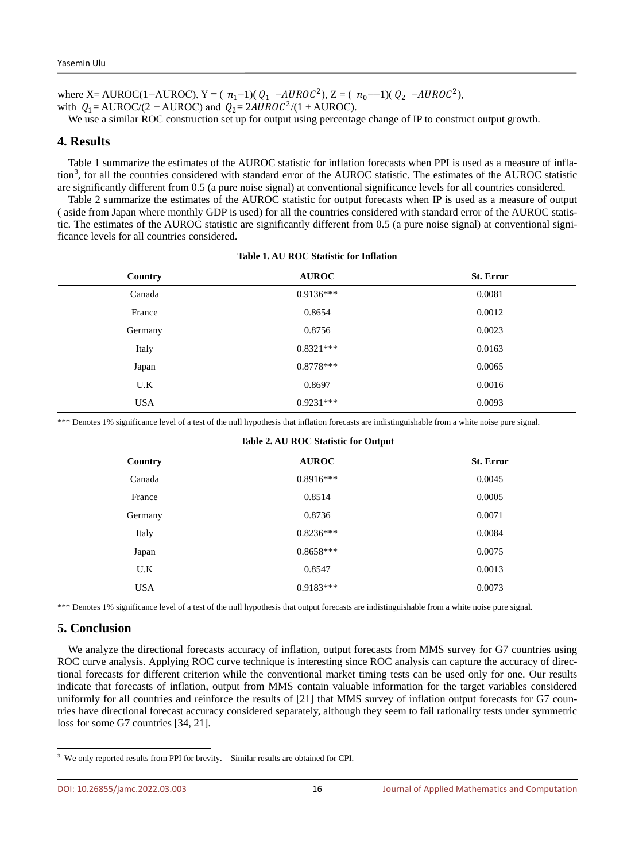where X= AUROC(1−AUROC), Y = ( $n_1$ -1)( $Q_1$  –AUROC<sup>2</sup>), Z = ( $n_0$ --1)( $Q_2$  –AUROC<sup>2</sup>), with  $Q_1 = \text{AUROC}/(2 - \text{AUROC})$  and  $Q_2 = 2 \text{AUROC}^2/(1 + \text{AUROC})$ .

We use a similar ROC construction set up for output using percentage change of IP to construct output growth.

## **4. Results**

Table 1 summarize the estimates of the AUROC statistic for inflation forecasts when PPI is used as a measure of infla-tion<sup>[3](#page-3-0)</sup>, for all the countries considered with standard error of the AUROC statistic. The estimates of the AUROC statistic are significantly different from 0.5 (a pure noise signal) at conventional significance levels for all countries considered.

Table 2 summarize the estimates of the AUROC statistic for output forecasts when IP is used as a measure of output ( aside from Japan where monthly GDP is used) for all the countries considered with standard error of the AUROC statistic. The estimates of the AUROC statistic are significantly different from 0.5 (a pure noise signal) at conventional significance levels for all countries considered.

| Country    | <b>AUROC</b> | <b>St. Error</b> |
|------------|--------------|------------------|
| Canada     | $0.9136***$  | 0.0081           |
| France     | 0.8654       | 0.0012           |
| Germany    | 0.8756       | 0.0023           |
| Italy      | $0.8321***$  | 0.0163           |
| Japan      | $0.8778***$  | 0.0065           |
| U.K        | 0.8697       | 0.0016           |
| <b>USA</b> | $0.9231***$  | 0.0093           |
|            |              |                  |

**Table 1. AU ROC Statistic for Inflation**

\*\*\* Denotes 1% significance level of a test of the null hypothesis that inflation forecasts are indistinguishable from a white noise pure signal.

| rashe arrive no o statistic for output |              |                  |  |
|----------------------------------------|--------------|------------------|--|
| Country                                | <b>AUROC</b> | <b>St. Error</b> |  |
| Canada                                 | $0.8916***$  | 0.0045           |  |
| France                                 | 0.8514       | 0.0005           |  |
| Germany                                | 0.8736       | 0.0071           |  |
| Italy                                  | $0.8236***$  | 0.0084           |  |
| Japan                                  | $0.8658***$  | 0.0075           |  |
| U.K                                    | 0.8547       | 0.0013           |  |
| <b>USA</b>                             | $0.9183***$  | 0.0073           |  |

# **Table 2. AU ROC Statistic for Output**

\*\*\* Denotes 1% significance level of a test of the null hypothesis that output forecasts are indistinguishable from a white noise pure signal.

# **5. Conclusion**

We analyze the directional forecasts accuracy of inflation, output forecasts from MMS survey for G7 countries using ROC curve analysis. Applying ROC curve technique is interesting since ROC analysis can capture the accuracy of directional forecasts for different criterion while the conventional market timing tests can be used only for one. Our results indicate that forecasts of inflation, output from MMS contain valuable information for the target variables considered uniformly for all countries and reinforce the results of [21] that MMS survey of inflation output forecasts for G7 countries have directional forecast accuracy considered separately, although they seem to fail rationality tests under symmetric loss for some G7 countries [34, 21].

<span id="page-3-0"></span><sup>&</sup>lt;sup>3</sup> We only reported results from PPI for brevity. Similar results are obtained for CPI.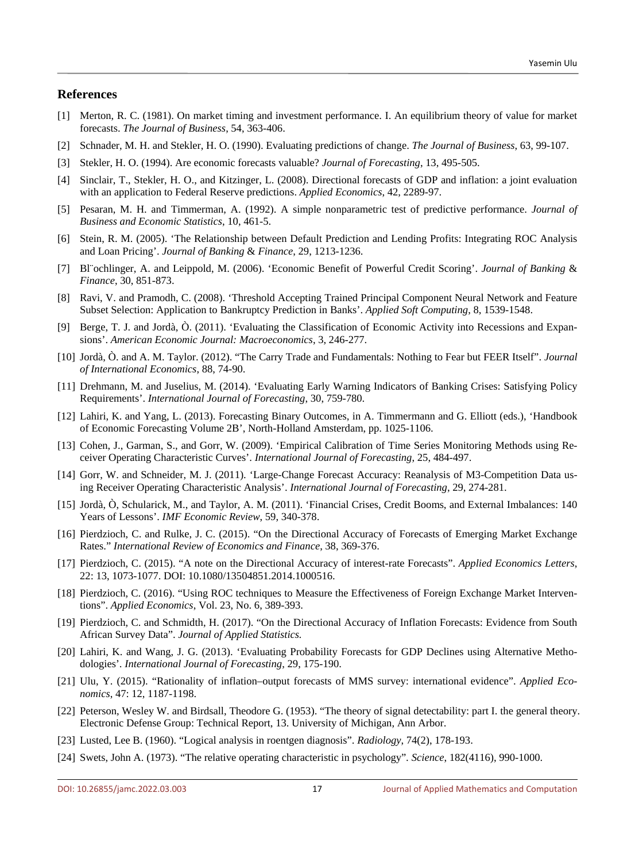## **References**

- [1] Merton, R. C. (1981). On market timing and investment performance. I. An equilibrium theory of value for market forecasts. *The Journal of Business*, 54, 363-406.
- [2] Schnader, M. H. and Stekler, H. O. (1990). Evaluating predictions of change. *The Journal of Business*, 63, 99-107.
- [3] Stekler, H. O. (1994). Are economic forecasts valuable? *Journal of Forecasting*, 13, 495-505.
- [4] Sinclair, T., Stekler, H. O., and Kitzinger, L. (2008). Directional forecasts of GDP and inflation: a joint evaluation with an application to Federal Reserve predictions. *Applied Economics*, 42, 2289-97.
- [5] Pesaran, M. H. and Timmerman, A. (1992). A simple nonparametric test of predictive performance. *Journal of Business and Economic Statistics*, 10, 461-5.
- [6] Stein, R. M. (2005). 'The Relationship between Default Prediction and Lending Profits: Integrating ROC Analysis and Loan Pricing'. *Journal of Banking* & *Finance*, 29, 1213-1236.
- [7] Bl¨ochlinger, A. and Leippold, M. (2006). 'Economic Benefit of Powerful Credit Scoring'. *Journal of Banking* & *Finance*, 30, 851-873.
- [8] Ravi, V. and Pramodh, C. (2008). 'Threshold Accepting Trained Principal Component Neural Network and Feature Subset Selection: Application to Bankruptcy Prediction in Banks'. *Applied Soft Computing*, 8, 1539-1548.
- [9] Berge, T. J. and Jordà, Ò. (2011). 'Evaluating the Classification of Economic Activity into Recessions and Expansions'. *American Economic Journal: Macroeconomics*, 3, 246-277.
- [10] Jordà, Ò. and A. M. Taylor. (2012). "The Carry Trade and Fundamentals: Nothing to Fear but FEER Itself". *Journal of International Economics*, 88, 74-90.
- [11] Drehmann, M. and Juselius, M. (2014). 'Evaluating Early Warning Indicators of Banking Crises: Satisfying Policy Requirements'. *International Journal of Forecasting*, 30, 759-780.
- [12] Lahiri, K. and Yang, L. (2013). Forecasting Binary Outcomes, in A. Timmermann and G. Elliott (eds.), 'Handbook of Economic Forecasting Volume 2B', North-Holland Amsterdam, pp. 1025-1106.
- [13] Cohen, J., Garman, S., and Gorr, W. (2009). 'Empirical Calibration of Time Series Monitoring Methods using Receiver Operating Characteristic Curves'. *International Journal of Forecasting*, 25, 484-497.
- [14] Gorr, W. and Schneider, M. J. (2011). 'Large-Change Forecast Accuracy: Reanalysis of M3-Competition Data using Receiver Operating Characteristic Analysis'. *International Journal of Forecasting*, 29, 274-281.
- [15] Jordà, Ò, Schularick, M., and Taylor, A. M. (2011). 'Financial Crises, Credit Booms, and External Imbalances: 140 Years of Lessons'. *IMF Economic Review*, 59, 340-378.
- [16] Pierdzioch, C. and Rulke, J. C. (2015). "On the Directional Accuracy of Forecasts of Emerging Market Exchange Rates." *International Review of Economics and Finance*, 38, 369-376.
- [17] Pierdzioch, C. (2015). "A note on the Directional Accuracy of interest-rate Forecasts". *Applied Economics Letters*, 22: 13, 1073-1077. DOI: 10.1080/13504851.2014.1000516.
- [18] Pierdzioch, C. (2016). "Using ROC techniques to Measure the Effectiveness of Foreign Exchange Market Interventions". *Applied Economics*, Vol. 23, No. 6, 389-393.
- [19] Pierdzioch, C. and Schmidth, H. (2017). "On the Directional Accuracy of Inflation Forecasts: Evidence from South African Survey Data". *Journal of Applied Statistics.*
- [20] Lahiri, K. and Wang, J. G. (2013). 'Evaluating Probability Forecasts for GDP Declines using Alternative Methodologies'*. International Journal of Forecasting*, 29, 175-190.
- [21] Ulu, Y. (2015). "Rationality of inflation–output forecasts of MMS survey: international evidence". *Applied Economics*, 47: 12, 1187-1198.
- [22] Peterson, Wesley W. and Birdsall, Theodore G. (1953). "The theory of signal detectability: part I. the general theory. Electronic Defense Group: Technical Report, 13. University of Michigan, Ann Arbor.
- [23] Lusted, Lee B. (1960). "Logical analysis in roentgen diagnosis". *Radiology*, 74(2), 178-193.
- [24] Swets, John A. (1973). "The relative operating characteristic in psychology". *Science*, 182(4116), 990-1000.